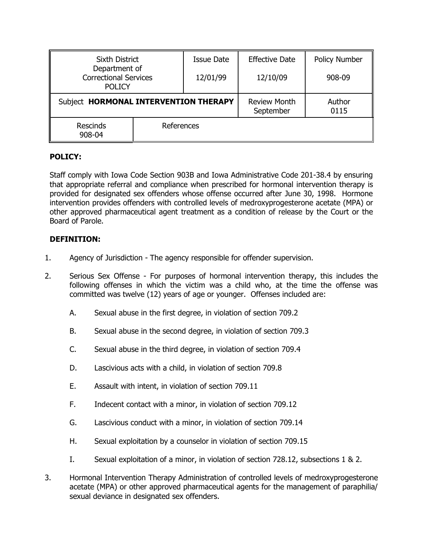| <b>Sixth District</b><br>Department of<br><b>Correctional Services</b><br><b>POLICY</b> |            | <b>Issue Date</b> | <b>Effective Date</b>            | Policy Number  |
|-----------------------------------------------------------------------------------------|------------|-------------------|----------------------------------|----------------|
|                                                                                         |            | 12/01/99          | 12/10/09                         | 908-09         |
| Subject HORMONAL INTERVENTION THERAPY                                                   |            |                   | <b>Review Month</b><br>September | Author<br>0115 |
| <b>Rescinds</b><br>908-04                                                               | References |                   |                                  |                |

### **POLICY:**

Staff comply with Iowa Code Section 903B and Iowa Administrative Code 201-38.4 by ensuring that appropriate referral and compliance when prescribed for hormonal intervention therapy is provided for designated sex offenders whose offense occurred after June 30, 1998. Hormone intervention provides offenders with controlled levels of medroxyprogesterone acetate (MPA) or other approved pharmaceutical agent treatment as a condition of release by the Court or the Board of Parole.

## **DEFINITION:**

- 1. Agency of Jurisdiction The agency responsible for offender supervision.
- 2. Serious Sex Offense For purposes of hormonal intervention therapy, this includes the following offenses in which the victim was a child who, at the time the offense was committed was twelve (12) years of age or younger. Offenses included are:
	- A. Sexual abuse in the first degree, in violation of section 709.2
	- B. Sexual abuse in the second degree, in violation of section 709.3
	- C. Sexual abuse in the third degree, in violation of section 709.4
	- D. Lascivious acts with a child, in violation of section 709.8
	- E. Assault with intent, in violation of section 709.11
	- F. Indecent contact with a minor, in violation of section 709.12
	- G. Lascivious conduct with a minor, in violation of section 709.14
	- H. Sexual exploitation by a counselor in violation of section 709.15
	- I. Sexual exploitation of a minor, in violation of section 728.12, subsections 1 & 2.
- 3. Hormonal Intervention Therapy Administration of controlled levels of medroxyprogesterone acetate (MPA) or other approved pharmaceutical agents for the management of paraphilia/ sexual deviance in designated sex offenders.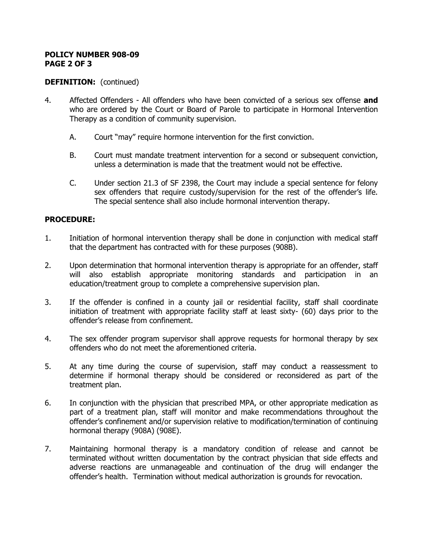### **POLICY NUMBER 908-09 PAGE 2 OF 3**

# **DEFINITION:** (continued)

- 4. Affected Offenders All offenders who have been convicted of a serious sex offense **and** who are ordered by the Court or Board of Parole to participate in Hormonal Intervention Therapy as a condition of community supervision.
	- A. Court "may" require hormone intervention for the first conviction.
	- B. Court must mandate treatment intervention for a second or subsequent conviction, unless a determination is made that the treatment would not be effective.
	- C. Under section 21.3 of SF 2398, the Court may include a special sentence for felony sex offenders that require custody/supervision for the rest of the offender's life. The special sentence shall also include hormonal intervention therapy.

## **PROCEDURE:**

- 1. Initiation of hormonal intervention therapy shall be done in conjunction with medical staff that the department has contracted with for these purposes (908B).
- 2. Upon determination that hormonal intervention therapy is appropriate for an offender, staff will also establish appropriate monitoring standards and participation in an education/treatment group to complete a comprehensive supervision plan.
- 3. If the offender is confined in a county jail or residential facility, staff shall coordinate initiation of treatment with appropriate facility staff at least sixty- (60) days prior to the offender's release from confinement.
- 4. The sex offender program supervisor shall approve requests for hormonal therapy by sex offenders who do not meet the aforementioned criteria.
- 5. At any time during the course of supervision, staff may conduct a reassessment to determine if hormonal therapy should be considered or reconsidered as part of the treatment plan.
- 6. In conjunction with the physician that prescribed MPA, or other appropriate medication as part of a treatment plan, staff will monitor and make recommendations throughout the offender's confinement and/or supervision relative to modification/termination of continuing hormonal therapy (908A) (908E).
- 7. Maintaining hormonal therapy is a mandatory condition of release and cannot be terminated without written documentation by the contract physician that side effects and adverse reactions are unmanageable and continuation of the drug will endanger the offender's health. Termination without medical authorization is grounds for revocation.